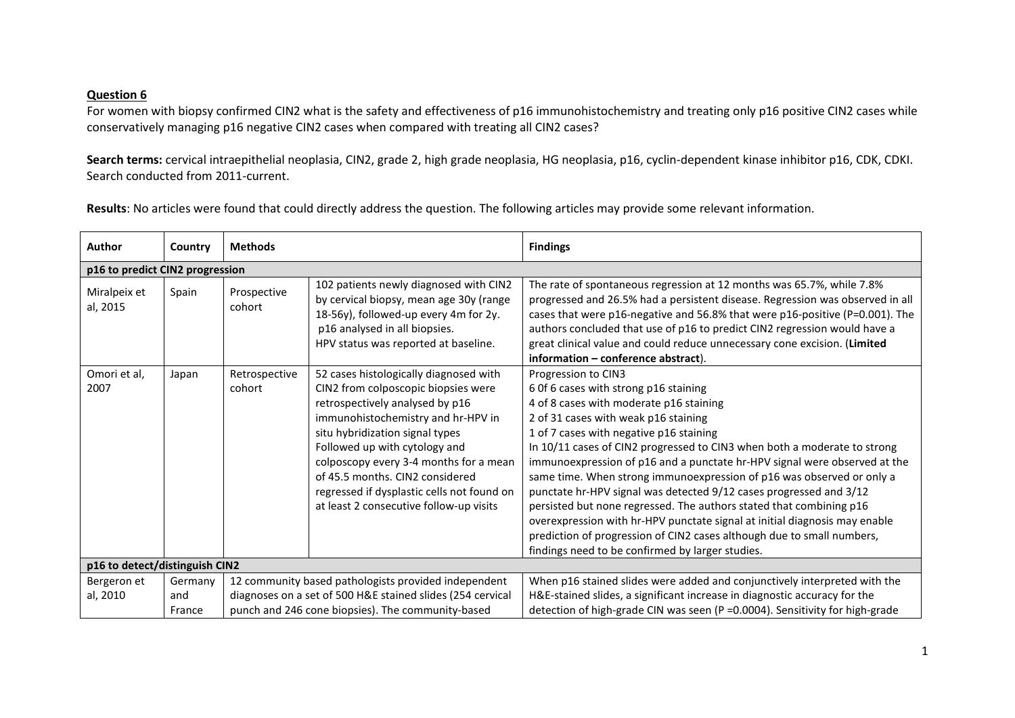## **Question 6**

For women with biopsy confirmed CIN2 what is the safety and effectiveness of p16 immunohistochemistry and treating only p16 positive CIN2 cases while conservatively managing p16 negative CIN2 cases when compared with treating all CIN2 cases?

**Search terms:** cervical intraepithelial neoplasia, CIN2, grade 2, high grade neoplasia, HG neoplasia, p16, cyclin-dependent kinase inhibitor p16, CDK, CDKI. Search conducted from 2011-current.

**Results**: No articles were found that could directly address the question. The following articles may provide some relevant information.

| Author                          | Country | <b>Methods</b>                                       |                                                                                                                                                                                                                                                                                                                                                                                                  | <b>Findings</b>                                                                                                                                                                                                                                                                                                                                                                                                                                                                                                                                                                                                                                                                                                                                                                       |  |
|---------------------------------|---------|------------------------------------------------------|--------------------------------------------------------------------------------------------------------------------------------------------------------------------------------------------------------------------------------------------------------------------------------------------------------------------------------------------------------------------------------------------------|---------------------------------------------------------------------------------------------------------------------------------------------------------------------------------------------------------------------------------------------------------------------------------------------------------------------------------------------------------------------------------------------------------------------------------------------------------------------------------------------------------------------------------------------------------------------------------------------------------------------------------------------------------------------------------------------------------------------------------------------------------------------------------------|--|
| p16 to predict CIN2 progression |         |                                                      |                                                                                                                                                                                                                                                                                                                                                                                                  |                                                                                                                                                                                                                                                                                                                                                                                                                                                                                                                                                                                                                                                                                                                                                                                       |  |
| Miralpeix et<br>al, 2015        | Spain   | Prospective<br>cohort                                | 102 patients newly diagnosed with CIN2<br>by cervical biopsy, mean age 30y (range<br>18-56y), followed-up every 4m for 2y.<br>p16 analysed in all biopsies.<br>HPV status was reported at baseline.                                                                                                                                                                                              | The rate of spontaneous regression at 12 months was 65.7%, while 7.8%<br>progressed and 26.5% had a persistent disease. Regression was observed in all<br>cases that were p16-negative and 56.8% that were p16-positive (P=0.001). The<br>authors concluded that use of p16 to predict CIN2 regression would have a<br>great clinical value and could reduce unnecessary cone excision. (Limited<br>information - conference abstract).                                                                                                                                                                                                                                                                                                                                               |  |
| Omori et al,<br>2007            | Japan   | Retrospective<br>cohort                              | 52 cases histologically diagnosed with<br>CIN2 from colposcopic biopsies were<br>retrospectively analysed by p16<br>immunohistochemistry and hr-HPV in<br>situ hybridization signal types<br>Followed up with cytology and<br>colposcopy every 3-4 months for a mean<br>of 45.5 months, CIN2 considered<br>regressed if dysplastic cells not found on<br>at least 2 consecutive follow-up visits | Progression to CIN3<br>6 Of 6 cases with strong p16 staining<br>4 of 8 cases with moderate p16 staining<br>2 of 31 cases with weak p16 staining<br>1 of 7 cases with negative p16 staining<br>In 10/11 cases of CIN2 progressed to CIN3 when both a moderate to strong<br>immunoexpression of p16 and a punctate hr-HPV signal were observed at the<br>same time. When strong immunoexpression of p16 was observed or only a<br>punctate hr-HPV signal was detected 9/12 cases progressed and 3/12<br>persisted but none regressed. The authors stated that combining p16<br>overexpression with hr-HPV punctate signal at initial diagnosis may enable<br>prediction of progression of CIN2 cases although due to small numbers,<br>findings need to be confirmed by larger studies. |  |
| p16 to detect/distinguish CIN2  |         |                                                      |                                                                                                                                                                                                                                                                                                                                                                                                  |                                                                                                                                                                                                                                                                                                                                                                                                                                                                                                                                                                                                                                                                                                                                                                                       |  |
| Bergeron et                     | Germany | 12 community based pathologists provided independent |                                                                                                                                                                                                                                                                                                                                                                                                  | When p16 stained slides were added and conjunctively interpreted with the                                                                                                                                                                                                                                                                                                                                                                                                                                                                                                                                                                                                                                                                                                             |  |
| al, 2010                        | and     |                                                      | diagnoses on a set of 500 H&E stained slides (254 cervical                                                                                                                                                                                                                                                                                                                                       | H&E-stained slides, a significant increase in diagnostic accuracy for the                                                                                                                                                                                                                                                                                                                                                                                                                                                                                                                                                                                                                                                                                                             |  |
|                                 | France  | punch and 246 cone biopsies). The community-based    |                                                                                                                                                                                                                                                                                                                                                                                                  | detection of high-grade CIN was seen (P = 0.0004). Sensitivity for high-grade                                                                                                                                                                                                                                                                                                                                                                                                                                                                                                                                                                                                                                                                                                         |  |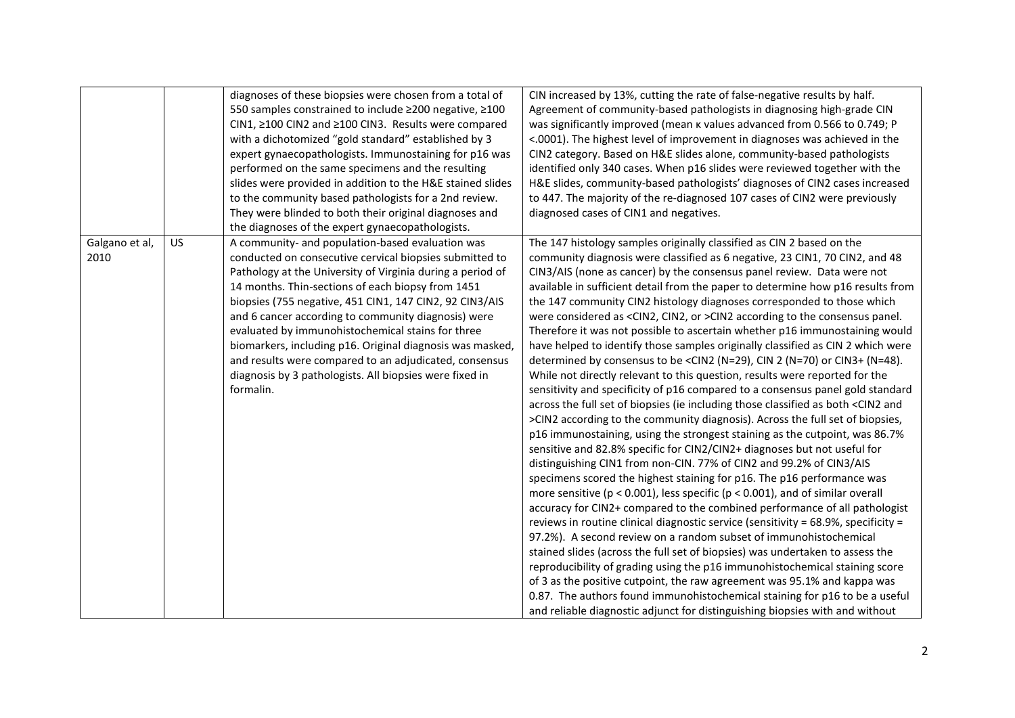|                        |    | diagnoses of these biopsies were chosen from a total of<br>550 samples constrained to include ≥200 negative, ≥100<br>CIN1, ≥100 CIN2 and ≥100 CIN3. Results were compared<br>with a dichotomized "gold standard" established by 3<br>expert gynaecopathologists. Immunostaining for p16 was<br>performed on the same specimens and the resulting<br>slides were provided in addition to the H&E stained slides<br>to the community based pathologists for a 2nd review.<br>They were blinded to both their original diagnoses and<br>the diagnoses of the expert gynaecopathologists.                | CIN increased by 13%, cutting the rate of false-negative results by half.<br>Agreement of community-based pathologists in diagnosing high-grade CIN<br>was significantly improved (mean k values advanced from 0.566 to 0.749; P<br><.0001). The highest level of improvement in diagnoses was achieved in the<br>CIN2 category. Based on H&E slides alone, community-based pathologists<br>identified only 340 cases. When p16 slides were reviewed together with the<br>H&E slides, community-based pathologists' diagnoses of CIN2 cases increased<br>to 447. The majority of the re-diagnosed 107 cases of CIN2 were previously<br>diagnosed cases of CIN1 and negatives.                                                                                                                                                                                                                                                                                                                                                                                                                                                                                                                                                                                                                                                                                                                                                                                                                                                                                                                                                                                                                                                                                                                                                                                                                                                                                                                                                                                                                                                                                                                        |
|------------------------|----|------------------------------------------------------------------------------------------------------------------------------------------------------------------------------------------------------------------------------------------------------------------------------------------------------------------------------------------------------------------------------------------------------------------------------------------------------------------------------------------------------------------------------------------------------------------------------------------------------|------------------------------------------------------------------------------------------------------------------------------------------------------------------------------------------------------------------------------------------------------------------------------------------------------------------------------------------------------------------------------------------------------------------------------------------------------------------------------------------------------------------------------------------------------------------------------------------------------------------------------------------------------------------------------------------------------------------------------------------------------------------------------------------------------------------------------------------------------------------------------------------------------------------------------------------------------------------------------------------------------------------------------------------------------------------------------------------------------------------------------------------------------------------------------------------------------------------------------------------------------------------------------------------------------------------------------------------------------------------------------------------------------------------------------------------------------------------------------------------------------------------------------------------------------------------------------------------------------------------------------------------------------------------------------------------------------------------------------------------------------------------------------------------------------------------------------------------------------------------------------------------------------------------------------------------------------------------------------------------------------------------------------------------------------------------------------------------------------------------------------------------------------------------------------------------------------|
| Galgano et al,<br>2010 | US | A community- and population-based evaluation was<br>conducted on consecutive cervical biopsies submitted to<br>Pathology at the University of Virginia during a period of<br>14 months. Thin-sections of each biopsy from 1451<br>biopsies (755 negative, 451 CIN1, 147 CIN2, 92 CIN3/AIS<br>and 6 cancer according to community diagnosis) were<br>evaluated by immunohistochemical stains for three<br>biomarkers, including p16. Original diagnosis was masked,<br>and results were compared to an adjudicated, consensus<br>diagnosis by 3 pathologists. All biopsies were fixed in<br>formalin. | The 147 histology samples originally classified as CIN 2 based on the<br>community diagnosis were classified as 6 negative, 23 CIN1, 70 CIN2, and 48<br>CIN3/AIS (none as cancer) by the consensus panel review. Data were not<br>available in sufficient detail from the paper to determine how p16 results from<br>the 147 community CIN2 histology diagnoses corresponded to those which<br>were considered as <cin2, cin2,="" or="">CIN2 according to the consensus panel.<br/>Therefore it was not possible to ascertain whether p16 immunostaining would<br/>have helped to identify those samples originally classified as CIN 2 which were<br/>determined by consensus to be <cin2 (n="48).&lt;br" 2="" cin="" cin3+="" or="">While not directly relevant to this question, results were reported for the<br/>sensitivity and specificity of p16 compared to a consensus panel gold standard<br/>across the full set of biopsies (ie including those classified as both <cin2 and<br="">&gt;CIN2 according to the community diagnosis). Across the full set of biopsies,<br/>p16 immunostaining, using the strongest staining as the cutpoint, was 86.7%<br/>sensitive and 82.8% specific for CIN2/CIN2+ diagnoses but not useful for<br/>distinguishing CIN1 from non-CIN. 77% of CIN2 and 99.2% of CIN3/AIS<br/>specimens scored the highest staining for p16. The p16 performance was<br/>more sensitive (<math>p &lt; 0.001</math>), less specific (<math>p &lt; 0.001</math>), and of similar overall<br/>accuracy for CIN2+ compared to the combined performance of all pathologist<br/>reviews in routine clinical diagnostic service (sensitivity = 68.9%, specificity =<br/>97.2%). A second review on a random subset of immunohistochemical<br/>stained slides (across the full set of biopsies) was undertaken to assess the<br/>reproducibility of grading using the p16 immunohistochemical staining score<br/>of 3 as the positive cutpoint, the raw agreement was 95.1% and kappa was<br/>0.87. The authors found immunohistochemical staining for p16 to be a useful<br/>and reliable diagnostic adjunct for distinguishing biopsies with and without</cin2></cin2></cin2,> |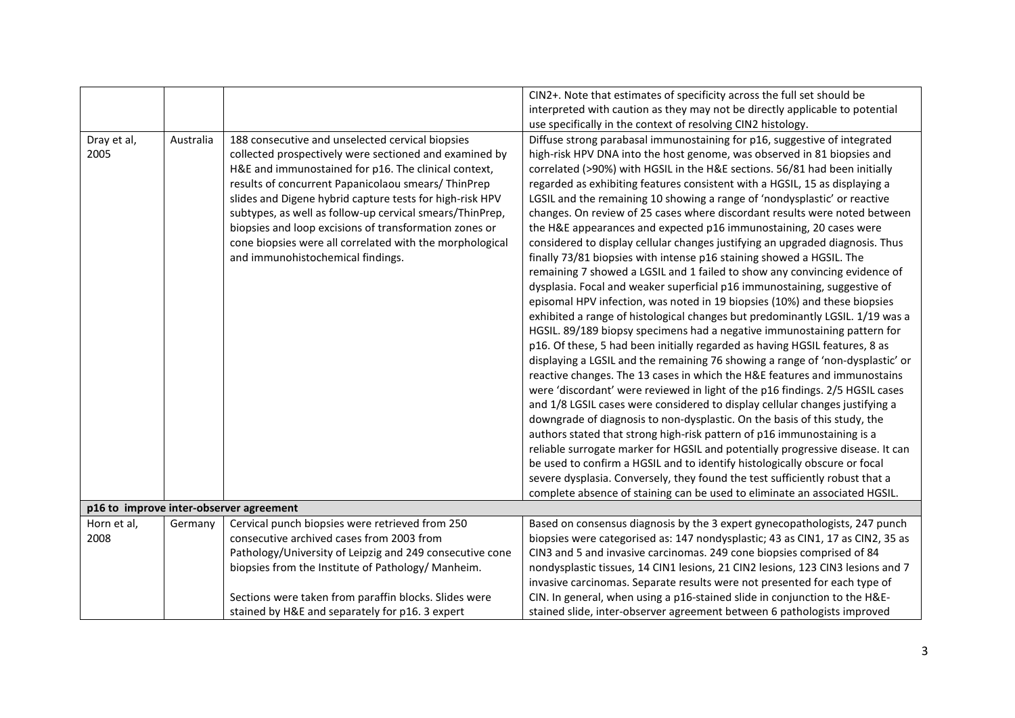|             |                                                               |                                                          | CIN2+. Note that estimates of specificity across the full set should be         |
|-------------|---------------------------------------------------------------|----------------------------------------------------------|---------------------------------------------------------------------------------|
|             |                                                               |                                                          | interpreted with caution as they may not be directly applicable to potential    |
|             |                                                               |                                                          | use specifically in the context of resolving CIN2 histology.                    |
| Dray et al, | Australia<br>188 consecutive and unselected cervical biopsies |                                                          | Diffuse strong parabasal immunostaining for p16, suggestive of integrated       |
| 2005        |                                                               | collected prospectively were sectioned and examined by   | high-risk HPV DNA into the host genome, was observed in 81 biopsies and         |
|             |                                                               | H&E and immunostained for p16. The clinical context,     | correlated (>90%) with HGSIL in the H&E sections. 56/81 had been initially      |
|             |                                                               | results of concurrent Papanicolaou smears/ ThinPrep      | regarded as exhibiting features consistent with a HGSIL, 15 as displaying a     |
|             |                                                               | slides and Digene hybrid capture tests for high-risk HPV | LGSIL and the remaining 10 showing a range of 'nondysplastic' or reactive       |
|             |                                                               | subtypes, as well as follow-up cervical smears/ThinPrep, | changes. On review of 25 cases where discordant results were noted between      |
|             |                                                               | biopsies and loop excisions of transformation zones or   | the H&E appearances and expected p16 immunostaining, 20 cases were              |
|             |                                                               | cone biopsies were all correlated with the morphological | considered to display cellular changes justifying an upgraded diagnosis. Thus   |
|             |                                                               | and immunohistochemical findings.                        | finally 73/81 biopsies with intense p16 staining showed a HGSIL. The            |
|             |                                                               |                                                          | remaining 7 showed a LGSIL and 1 failed to show any convincing evidence of      |
|             |                                                               |                                                          | dysplasia. Focal and weaker superficial p16 immunostaining, suggestive of       |
|             |                                                               |                                                          | episomal HPV infection, was noted in 19 biopsies (10%) and these biopsies       |
|             |                                                               |                                                          | exhibited a range of histological changes but predominantly LGSIL. 1/19 was a   |
|             |                                                               |                                                          | HGSIL. 89/189 biopsy specimens had a negative immunostaining pattern for        |
|             |                                                               |                                                          | p16. Of these, 5 had been initially regarded as having HGSIL features, 8 as     |
|             |                                                               |                                                          | displaying a LGSIL and the remaining 76 showing a range of 'non-dysplastic' or  |
|             |                                                               |                                                          | reactive changes. The 13 cases in which the H&E features and immunostains       |
|             |                                                               |                                                          | were 'discordant' were reviewed in light of the p16 findings. 2/5 HGSIL cases   |
|             |                                                               |                                                          | and 1/8 LGSIL cases were considered to display cellular changes justifying a    |
|             |                                                               |                                                          | downgrade of diagnosis to non-dysplastic. On the basis of this study, the       |
|             |                                                               |                                                          | authors stated that strong high-risk pattern of p16 immunostaining is a         |
|             |                                                               |                                                          | reliable surrogate marker for HGSIL and potentially progressive disease. It can |
|             |                                                               |                                                          | be used to confirm a HGSIL and to identify histologically obscure or focal      |
|             |                                                               |                                                          | severe dysplasia. Conversely, they found the test sufficiently robust that a    |
|             |                                                               |                                                          | complete absence of staining can be used to eliminate an associated HGSIL.      |
|             |                                                               | p16 to improve inter-observer agreement                  |                                                                                 |
| Horn et al, | Germany                                                       | Cervical punch biopsies were retrieved from 250          | Based on consensus diagnosis by the 3 expert gynecopathologists, 247 punch      |
| 2008        |                                                               | consecutive archived cases from 2003 from                | biopsies were categorised as: 147 nondysplastic; 43 as CIN1, 17 as CIN2, 35 as  |
|             |                                                               | Pathology/University of Leipzig and 249 consecutive cone | CIN3 and 5 and invasive carcinomas. 249 cone biopsies comprised of 84           |
|             |                                                               | biopsies from the Institute of Pathology/ Manheim.       | nondysplastic tissues, 14 CIN1 lesions, 21 CIN2 lesions, 123 CIN3 lesions and 7 |
|             |                                                               |                                                          | invasive carcinomas. Separate results were not presented for each type of       |
|             |                                                               | Sections were taken from paraffin blocks. Slides were    | CIN. In general, when using a p16-stained slide in conjunction to the H&E-      |
|             |                                                               | stained by H&E and separately for p16. 3 expert          | stained slide, inter-observer agreement between 6 pathologists improved         |